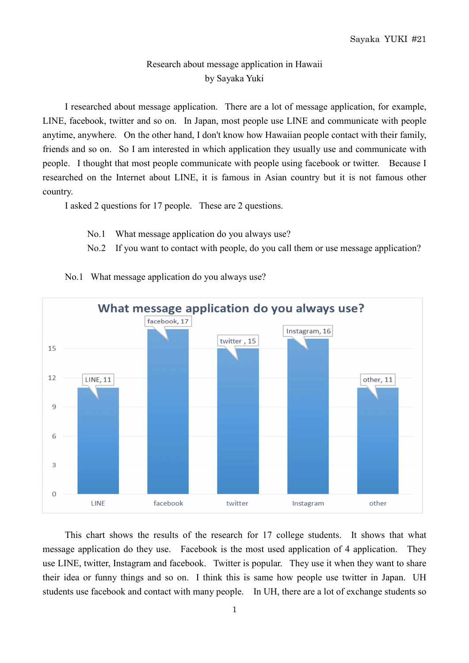## Research about message application in Hawaii by Sayaka Yuki

I researched about message application. There are a lot of message application, for example, LINE, facebook, twitter and so on. In Japan, most people use LINE and communicate with people anytime, anywhere. On the other hand, I don't know how Hawaiian people contact with their family, friends and so on. So I am interested in which application they usually use and communicate with people. I thought that most people communicate with people using facebook or twitter. Because I researched on the Internet about LINE, it is famous in Asian country but it is not famous other country.

I asked 2 questions for 17 people. These are 2 questions.

- No.1 What message application do you always use?
- No.2 If you want to contact with people, do you call them or use message application?



No.1 What message application do you always use?

This chart shows the results of the research for 17 college students. It shows that what message application do they use. Facebook is the most used application of 4 application. They use LINE, twitter, Instagram and facebook. Twitter is popular. They use it when they want to share their idea or funny things and so on. I think this is same how people use twitter in Japan. UH students use facebook and contact with many people. In UH, there are a lot of exchange students so